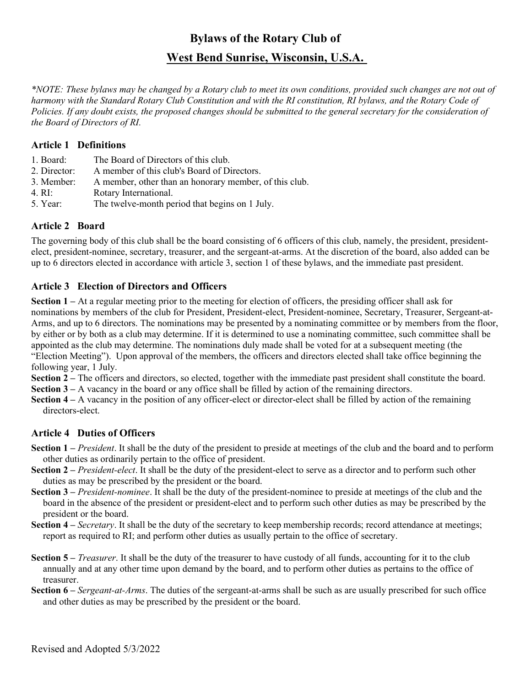# Bylaws of the Rotary Club of West Bend Sunrise, Wisconsin, U.S.A.

\*NOTE: These bylaws may be changed by a Rotary club to meet its own conditions, provided such changes are not out of harmony with the Standard Rotary Club Constitution and with the RI constitution, RI bylaws, and the Rotary Code of Policies. If any doubt exists, the proposed changes should be submitted to the general secretary for the consideration of the Board of Directors of RI.

## Article 1 Definitions

- 1. Board: The Board of Directors of this club.
- 2. Director: A member of this club's Board of Directors.
- 3. Member: A member, other than an honorary member, of this club.
- 4. RI: Rotary International.
- 5. Year: The twelve-month period that begins on 1 July.

## Article 2 Board

The governing body of this club shall be the board consisting of 6 officers of this club, namely, the president, presidentelect, president-nominee, secretary, treasurer, and the sergeant-at-arms. At the discretion of the board, also added can be up to 6 directors elected in accordance with article 3, section 1 of these bylaws, and the immediate past president.

## Article 3 Election of Directors and Officers

Section 1 – At a regular meeting prior to the meeting for election of officers, the presiding officer shall ask for nominations by members of the club for President, President-elect, President-nominee, Secretary, Treasurer, Sergeant-at-Arms, and up to 6 directors. The nominations may be presented by a nominating committee or by members from the floor, by either or by both as a club may determine. If it is determined to use a nominating committee, such committee shall be appointed as the club may determine. The nominations duly made shall be voted for at a subsequent meeting (the "Election Meeting"). Upon approval of the members, the officers and directors elected shall take office beginning the following year, 1 July.

Section 2 – The officers and directors, so elected, together with the immediate past president shall constitute the board. Section  $3 - A$  vacancy in the board or any office shall be filled by action of the remaining directors.

Section 4 – A vacancy in the position of any officer-elect or director-elect shall be filled by action of the remaining directors-elect.

## Article 4 Duties of Officers

- Section  $1$  President. It shall be the duty of the president to preside at meetings of the club and the board and to perform other duties as ordinarily pertain to the office of president.
- Section 2 President-elect. It shall be the duty of the president-elect to serve as a director and to perform such other duties as may be prescribed by the president or the board.
- Section 3 *President-nominee*. It shall be the duty of the president-nominee to preside at meetings of the club and the board in the absence of the president or president-elect and to perform such other duties as may be prescribed by the president or the board.
- Section 4 Secretary. It shall be the duty of the secretary to keep membership records; record attendance at meetings; report as required to RI; and perform other duties as usually pertain to the office of secretary.
- Section 5 *Treasurer*. It shall be the duty of the treasurer to have custody of all funds, accounting for it to the club annually and at any other time upon demand by the board, and to perform other duties as pertains to the office of treasurer.
- Section 6 Sergeant-at-Arms. The duties of the sergeant-at-arms shall be such as are usually prescribed for such office and other duties as may be prescribed by the president or the board.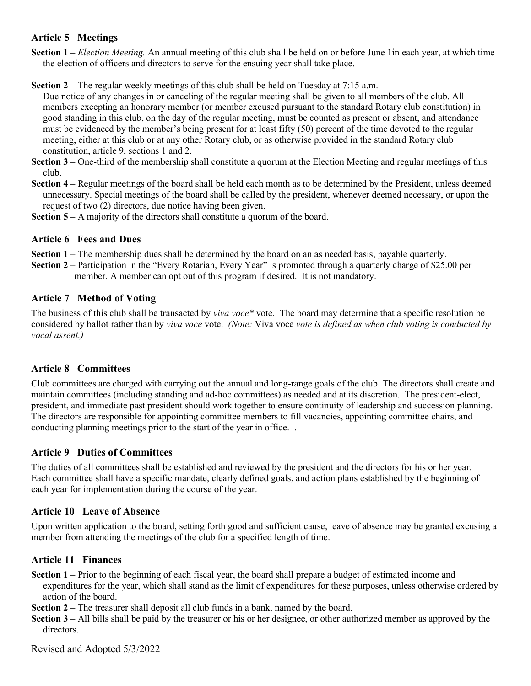## Article 5 Meetings

Section 1 – Election Meeting. An annual meeting of this club shall be held on or before June 1 in each year, at which time the election of officers and directors to serve for the ensuing year shall take place.

Section 2 – The regular weekly meetings of this club shall be held on Tuesday at 7:15 a.m.

- Due notice of any changes in or canceling of the regular meeting shall be given to all members of the club. All members excepting an honorary member (or member excused pursuant to the standard Rotary club constitution) in good standing in this club, on the day of the regular meeting, must be counted as present or absent, and attendance must be evidenced by the member's being present for at least fifty (50) percent of the time devoted to the regular meeting, either at this club or at any other Rotary club, or as otherwise provided in the standard Rotary club constitution, article 9, sections 1 and 2.
- Section 3 One-third of the membership shall constitute a quorum at the Election Meeting and regular meetings of this club.
- Section 4 Regular meetings of the board shall be held each month as to be determined by the President, unless deemed unnecessary. Special meetings of the board shall be called by the president, whenever deemed necessary, or upon the request of two (2) directors, due notice having been given.
- Section 5 A majority of the directors shall constitute a quorum of the board.

## Article 6 Fees and Dues

- Section 1 The membership dues shall be determined by the board on an as needed basis, payable quarterly.
- Section 2 Participation in the "Every Rotarian, Every Year" is promoted through a quarterly charge of \$25.00 per member. A member can opt out of this program if desired. It is not mandatory.

## Article 7 Method of Voting

The business of this club shall be transacted by viva voce\* vote. The board may determine that a specific resolution be considered by ballot rather than by viva voce vote. (Note: Viva voce vote is defined as when club voting is conducted by vocal assent.)

## Article 8 Committees

Club committees are charged with carrying out the annual and long-range goals of the club. The directors shall create and maintain committees (including standing and ad-hoc committees) as needed and at its discretion. The president-elect, president, and immediate past president should work together to ensure continuity of leadership and succession planning. The directors are responsible for appointing committee members to fill vacancies, appointing committee chairs, and conducting planning meetings prior to the start of the year in office. .

## Article 9 Duties of Committees

The duties of all committees shall be established and reviewed by the president and the directors for his or her year. Each committee shall have a specific mandate, clearly defined goals, and action plans established by the beginning of each year for implementation during the course of the year.

## Article 10 Leave of Absence

Upon written application to the board, setting forth good and sufficient cause, leave of absence may be granted excusing a member from attending the meetings of the club for a specified length of time.

## Article 11 Finances

Section 1 – Prior to the beginning of each fiscal year, the board shall prepare a budget of estimated income and expenditures for the year, which shall stand as the limit of expenditures for these purposes, unless otherwise ordered by action of the board.

Section 2 – The treasurer shall deposit all club funds in a bank, named by the board.

Section 3 – All bills shall be paid by the treasurer or his or her designee, or other authorized member as approved by the directors.

Revised and Adopted 5/3/2022